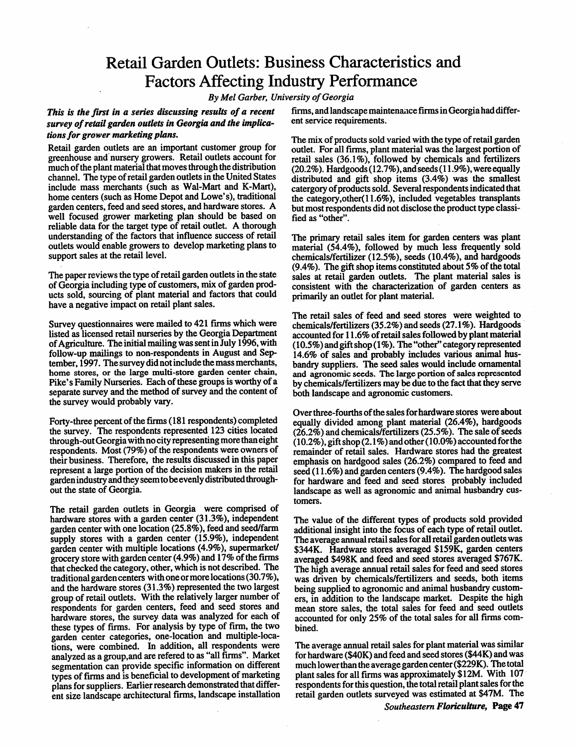# Retail Garden Outlets: Business Characteristics and Factors Affecting Industry Performance

**By Mel Garber, University ofGeorgia**

#### This is the first in a series discussing results of a recent **survey ofretailgardenoutletsin Georgia and the implica tionsfor grower marketing plans.**

Retail garden outlets are an important customer group for greenhouseand nursery growers. Retail outlets account for muchof the plant material that moves through the distribution channel. The type of retail garden outlets in the United States include mass merchants (such as Wal-Mart and K-Mart), home centers (such as Home Depot and Lowe's), traditional garden centers, feed and seed stores, and hardware stores. A well focused grower marketing plan should be based on reliable data for the target type of retail outlet. A thorough understanding of the factors that influence success of retail outlets would enable growers to develop marketing plans to support sales at the retail level.

The paper reviews the type of retail garden outlets in the state of Georgia including type of customers, mix of garden prod ucts sold, sourcing of plant material and factors that could have a negative impact on retail plant sales.

Survey questionnaires were mailed to 421 firms which were listed as licensed retail nurseries by the Georgia Department of Agriculture. The initial mailing was sent in July 1996, with follow-up mailings to non-respondents in August and Sep tember, 1997. The survey did not include the mass merchants, home stores, or the large multi-store garden center chain, Pike's Family Nurseries. Each of these groups is worthy of a separate survey and the method of survey and the content of the survey would probably vary.

Forty-three percent of the firms (181 respondents) completed the survey. The respondents represented 123 cities located through-out Georgia with no city representing more than eight respondents. Most (79%) of the respondents were owners of their business. Therefore, the results discussed in this paper represent a large portion of the decision makers in the retail garden industry and they seem to be evenly distributed throughout the state of Georgia.

The retail garden outlets in Georgia were comprised of hardware stores with a garden center (31.3%), independent garden center with one location (25.8%), feed and seed/farm supply stores with a garden center (15.9%), independent garden center with multiple locations  $(4.9\%)$ , supermarket/ grocery store with garden center  $(4.9\%)$  and  $17\%$  of the firms that checked the category, other, which is not described. The traditional garden centers with one or more locations (30.7%), and the hardware stores (31.3%) represented the two largest group of retail outlets. With the relatively larger number of respondents for garden centers, feed and seed stores and hardware stores, the survey data was analyzed for each of these types of firms. For analysis by type of firm, the two garden center categories, one-location and multiple-loca tions, were combined. In addition, all respondents were analyzed as a group,and are refered to as "all firms". Market segmentation can provide specific information on different types of firms and is beneficial to development of marketing plans for suppliers. Earlier research demonstrated that different size landscape architectural firms, landscape installation firms, and landscape maintenancefirms in Georgiahad differ ent service requirements.

The mix of products sold varied with the type of retail garden outlet. For all firms, plant material was the largest portion of retail sales (36.1%), followed by chemicals and fertilizers  $(20.2\%)$ . Hardgoods  $(12.7\%)$ , and seeds  $(11.9\%)$ , were equally distributed and gift shop items (3.4%) was the smallest catergory of products sold. Several respondents indicated that the category,other(11.6%), included vegetables transplants but most respondents did not disclose the product type classi fied as "other".

The primary retail sales item for garden centers was plant material (54.4%), followed by much less frequently sold chemicals/fertilizer (12.5%), seeds (10.4%), and hardgoods (9.4%). The gift shop items constituted about 5% of the total sales at retail garden outlets. The plant material sales is consistent with the characterization of garden centers as primarily an outlet for plant material.

The retail sales of feed and seed stores were weighted to chemicals/fertilizers (35.2%) and seeds (27.1%). Hardgoods accounted for 11.6% of retail sales followed by plant material (10.5%)andgift shop(1%). The "other" categoryrepresented 14.6% of sales and probably includes various animal hus bandry suppliers. The seed sales would include ornamental and agronomic seeds. The large portion of sales represented by chemicals/fertilizers may be due to the fact that they serve both landscape and agronomic customers.

Over three-fourths of the sales for hardware stores were about equally divided among plant material (26.4%), hardgoods  $(26.2\%)$  and chemicals/fertilizers  $(25.5\%)$ . The sale of seeds (10.2%), gift shop (2.1%) and other (10.0%) accounted for the remainder of retail sales. Hardware stores had the greatest emphasis on hardgood sales(26.2%) compared to feed and seed (11.6%) and garden centers (9.4%). The hardgood sales for hardware and feed and seed stores probably included landscape as well as agronomic and animal husbandry cus tomers.

The value of the different types of products sold provided additional insight into the focus of each type of retail outlet. The average annual retail sales for all retail garden outlets was \$344K. Hardware stores averaged \$159K, garden centers averaged \$498K and feed and seed stores averaged \$767K. The high average annual retail sales for feed and seed stores was driven by chemicals/fertilizers and seeds, both items being supplied to agronomic and animal husbandry customers, in addition to the landscape market. Despite the high mean store sales, the total sales for feed and seed outlets accounted for only 25% of the total sales for all firms combined.

The average annual retail sales for plant material was similar for hardware (\$40K) and feed and seed stores (\$44K) and was much lower than the average garden center (\$229K). The total plant sales for all firms was approximately \$12M. With 107 respondents for this question, the total retail plant sales for the retail garden outlets surveyed was estimated at \$47M. The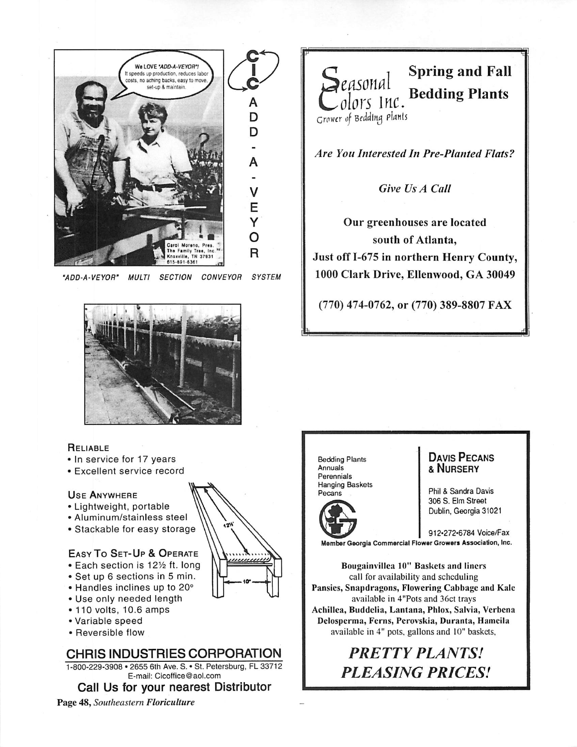

**'ADD-A-VEYOR' MULTI SECTION CONVEYOR SYSTEM**



## **RELIABLE**

- In service for 17 years
- Excellent service record

## Use Anywhere

- Lightweight, portable
- Aluminum/stainless steel
- Stackable for easy storage

- Easy To Set-Up & Operate
- Each section is 12½ ft. long
- Set up 6 sections in 5 min. • Handles inclines up to 20°
- Use only needed length
- 110 volts, 10.6 amps
- Variable speed
- Reversible flow

# CHRIS INDUSTRIES CORPORATION

1-800-229-3908 • 2655 6th Ave. S. • St. Petersburg, FL 33712 E-mail: Cicoffice@aol.com

# Call Us for your nearest Distributor

*Page 48,* **Southeastern***Floriculture*



**Are You Interested In Pre-Planted Flats?**

**Give Us A Call**

Our greenhouses are located south of Atlanta, Just off 1-675 in northern Henry County, 1000 Clark Drive, Ellenwood, GA 30049

(770) 474-0762, or (770) 389-8807 FAX

Bedding Plants Annuals Perennials Hanging Baskets Pecans

*-*



# Davis Pecans &Nursery

Phil & Sandra Davis 306 S. Elm Street Dublin, Georgia 31021

912«272-6784 Voice/Fax MemberGeorgia Commercial Flower Growers Association, Inc.

*Bougainvillca 10" Baskets and liners* call for availability and scheduling *Pansies, Snapdragons, Flowering Cabbage and Kale* available *in* 4"Pots and 36ct trays *Achillea, Buddclia, Lantana, Phlox, Salvia, Verbena Delosperma, Ferns, Perovskia, Duranta, Hameila* available in 4" pots, gallons and 10" baskets,

# **PRETTY PLANTS! PLEASING PRICES!**